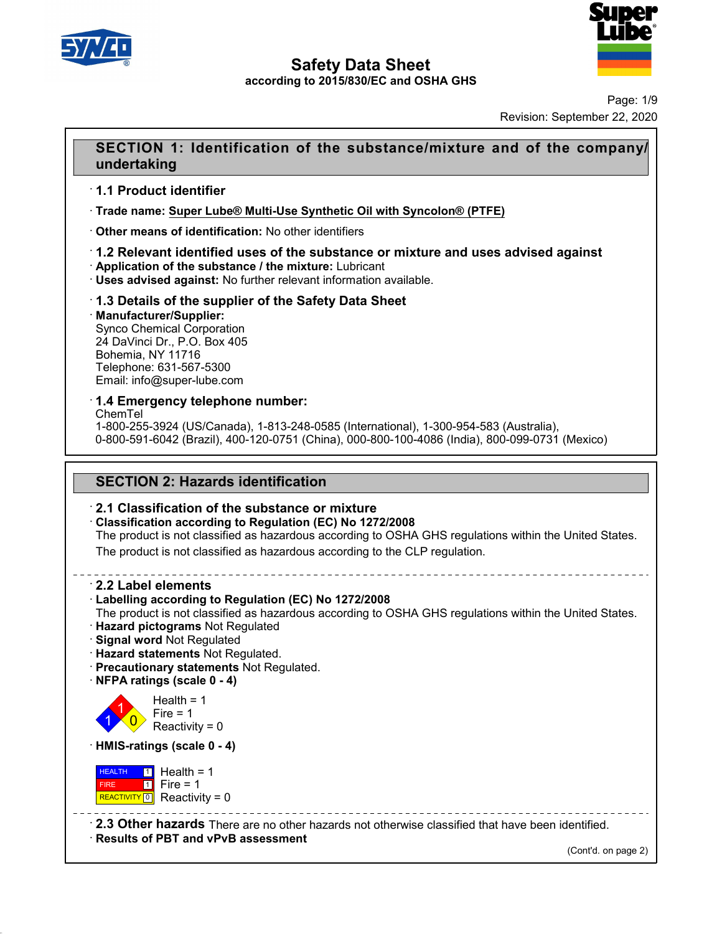



Page: 1/9 Revision: September 22, 2020

# **SECTION 1: Identification of the substance/mixture and of the company/**<br> **SECTION 1: Identification of the substance/mixture and of the company/**<br> **SECTION 1: Identification of the substance/mixture and of the company/ undertaking SECTION 1: Identificatio<br>
undertaking<br>
1.1 Product identifier<br>
Trade name: Super Lube® Multi-I<br>
Trade name: Super Lube® Multi-I**

· **Trade name: Super Lube® Multi-Use Synthetic Oil with Syncolon® (PTFE)**

# **undertaking**<br>
↑ 1.1 Product identifier<br>
↑ Trade name: <u>Super Lube® Multi-Use Synthetic Oil with Step</u><br>
↑ Other means of identification: No other identifiers<br>
↑ 1.2 Relevant identified uses of the substance or mi **1.1 Product identifier**<br>• Trade name: <u>Super Lube® Multi-Use Synthetic Oil with Syncolon® (PTFE)</u><br>• Other means of identification: No other identifiers<br>• **1.2 Relevant identified uses of the substance or mixture and uses** • **Trade name: Super Lube® Multi-Use Synthetic Oil with Syncolon® (P1**<br>• **Other means of identification:** No other identifiers<br>• **1.2 Relevant identified uses of the substance or mixture and users advised against: No furth**

· **Manufacturer/Supplier:** • Application of the substance / the mixture: Lubricant<br>• Uses advised against: No further relevant information a<br>• 1.3 Details of the supplier of the Safety Data Sh<br>• Manufacturer/Supplier:<br>• Synco Chemical Corporation<br>• **12.13 Details of the supplier of the Safety Data Sheet**<br> **24.3 Details of the supplier of the Safety Data Sheet**<br> **1.3 Details of the supplier of the Safety Data Sheet**<br> **1.3 Details of the supplier:**<br>
Synco Chemical Corp **1.3 Details of the supplier of the Safety Data Sheet**<br> **Manufacturer/Supplier:**<br>
Synco Chemical Corporation<br>
24 DaVinci Dr., P.O. Box 405<br>
Bohemia, NY 11716<br>
Telephone: 631-567-5300<br>
Email: info@super-lube.com **1.3 Details of the supplier of t<br>Manufacturer/Supplier:**<br>Synco Chemical Corporation<br>24 DaVinci Dr., P.O. Box 405<br>Bohemia, NY 11716<br>Telephone: 631-567-5300<br>Email: info@super-lube.com **Email: informal Synco Chemical Corporation**<br>
24 DaVinci Dr., P.O. Box 405<br>
Bohemia, NY 11716<br>
Telephone: 631-567-5300<br>
Email: info@super-lube.com<br> **1.4 Emergency telephone number:** 

ChemTel

1-800-255-3924 (US/Canada), 1-813-248-0585 (International), 1-300-954-583 (Australia), 0-800-591-6042 (Brazil), 400-120-0751 (China), 000-800-100-4086 (India), 800-099-0731 (Mexico) **T.4 Emergency telephone number:**<br>ChemTel<br>1-800-255-3924 (US/Canada), 1-813-248-0585 (Internatio-800-591-6042 (Brazil), 400-120-0751 (China), 000-800<br>**SECTION 2: Hazards identification**<br>**2.1 Classification of the substance** 

0-800-591-6042 (Brazil), 400-120-0751 (China), 000-800-100-408<br> **2.1 Classification of the substance or mixture**<br> **2.1 Classification of the substance or mixture**<br> **2.1 Classification according to Regulation (EC) No 1272/2 SECTION 2: Hazards identification<br>
· 2.1 Classification of the substance or mixture<br>
· Classification according to Regulation (EC) No 1272/2008<br>
The product is not classified as hazardous according to OSHA GHS regular<br>
Th** SECTION 2: Hazards identification<br>2.1 Classification of the substance or mixture<br>Classification according to Regulation (EC) No 1272/2008<br>The product is not classified as hazardous according to OSHA GHS regulations within **2.1 Classification of the substance or mixture<br>Classification according to Regulation (EC) No 1272/2008**<br>The product is not classified as hazardous according to OSHA GHS regulations with<br>The product is not classified as h **Example: Classification according to Re**<br>
The product is not classified as P<br>
The product is not classified as P<br> **2.2 Label elements**<br> **2.2 Label elements**<br> **2.2 Label elements** 

The product is not classified as hazardous according to OSHA GH<br>The product is not classified as hazardous according to the CLP re<br>
-<br> **2.2 Label elements**<br> **Cabelling according to Regulation (EC) No 1272/2008**<br>
The produc The product is not classified as hazardous according to the CLP regulation.<br> **2.2 Label elements**<br> **Example 12.2 Label elements**<br> **Example according to Regulation (EC) No 1272/2008**<br>
The product is not classified as hazard • **2.2 Label elements**<br>• Labelling according to Regulation (EC) No 1272/2008<br>The product is not classified as hazardous according to OSHA GHS regulations within the United States.<br>• Hazard pictograms Not Regulated<br>• Signal • **Labelling according to Regulation (EC) No 1272**.<br>
• **Hazard pictograms** Not Regulated. • **Signal word** Not Regulated. • **Precautionary statements** Not Regulated. • **Precautionary statements** Not Regulated. • **NFPA ratin** 

- 
- 
- 



48.0

Health =  $1$ <br>Fire =  $1$ rd Not Regulated<br> **tements** Not Regulated.<br> **aary statements** Not Regulated.<br> **lgs (scale 0 - 4)**<br>
Health = 1<br>
Fire = 1<br>
Reactivity = 0 **Internents Not Regulated.**<br> **Regulated.**<br> **Regulated Statements Not Regulated.**<br> **State 0 - 4**<br> **Peath = 1**<br>
Fire = 1<br>
Reactivity = 0 **React Strate Transferred React Strategy Statements Not Regulated Strategy Statements Not Regulated Strategy State 0 - 4)**<br>Health = 1<br>Reactivity = 0<br>**ggs (scale 0 - 4)** • **NFPA ratings (scale 0 - 4)**<br>
Health = 1<br> **Conserved Figure 1**<br> **HMIS-ratings (scale 0 - 4)**<br> **HEALTH 11** Health = 1

**HEALTH** 1 Hea FIRE 1 Fire REACTIVITY  $\boxed{0}$  Reactivity = 0 Fire = 1<br>
Reactivity = 0<br> **ings (scale 0 - 4)**<br> **i** Health = 1<br>
Fire = 1<br> **a** Reactivity = 0 reactivity = 0<br> **s** (scale 0 - 4)<br>
Health = 1<br>
Fire = 1<br>
Reactivity = 0  $s$  (scale 0 - 4)<br>
Health = 1<br>
Fire = 1<br>
Reactivity = 0<br>  $\frac{1}{2}$ <br>
Reactivity = 0<br>  $\frac{1}{2}$ <br>
Reactivity = 0<br>
Reactivity = 0<br>
Reactivity = 0

**EALTH 1** Health = 1<br>
FIRE **1** Fire = 1<br> **REACTIVITY 0** Reactivity = 0<br> **2.3 Other hazards** There are no other hazards not otherwise classified that have been identified.<br> **Results of PBT and vPvB assessment** (Cont'd. on p ------------<br>|entified.<br>(Cont'd. on page 2)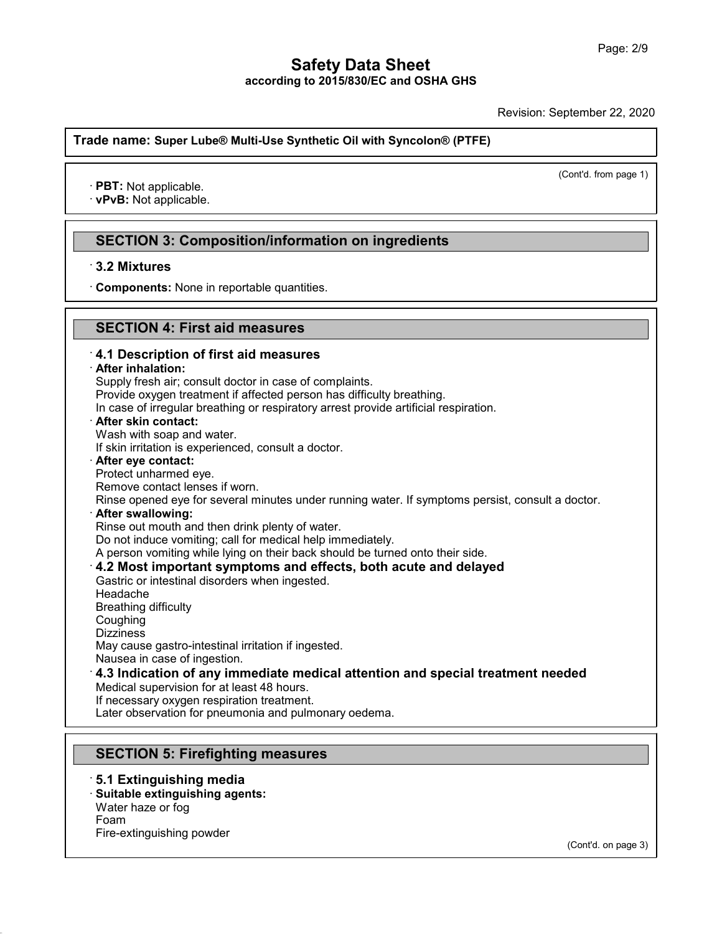Revision: September 22, 2020 (Cont'd. from page 1)

**Trade name: Super Lube® Multi-Use Synthetic Oil with Syncolon® (PTFE) ade name: Super Lube® Mul**<br>• **PBT:** Not applicable.<br>• **vPvB:** Not applicable.

# PBT: Not applicable.<br>vPvB: Not applicable.<br>SECTION 3: Composition/information on ingredients<br>3.2 Mixtures **PVB: Not applicable.<br>
SECTION 3: Compo**<br>
3.2 Mixtures<br>
Components: None in re **SECTION 3: Composition/information on**<br>3.2 Mixtures<br>Components: None in reportable quantities.

# **SECTION 4: First aid measures**

# **S.2 Mixtures**<br> **Components:** None in reportable quantities.<br> **SECTION 4: First aid measures**<br> **4.1 Description of first aid measures EXECTION 4: First aid measures**<br>**4.1 Description of first aid measures**<br>**4.1 Description of first aid measures**<br>**After inhalation:**<br>Supply fresh air; consult doctor in case of complaints. Provide oxygen treatment if affected person has difficulty breathing. In case of irregular breathing or respiratory arrest provide artificial respiration.<br>  $\cdot$  After skin contact: **4.1 Description of first aid measures**<br> **After inhalation:**<br>
Supply fresh air; consult doctor in case of complaints.<br>
Provide oxygen treatment if affected person has difficulty breathing.<br>
In case of irregular breathing o After inhalation:<br>Supply fresh air; consult doctor in case of<br>Provide oxygen treatment if affected per<br>In case of irregular breathing or respirate<br>After skin contact:<br>Wash with soap and water.<br>If skin irritation is experie Supply fresh air; consult doctor in case of complaints.<br>Provide oxygen treatment if affected person has difficulty bre<br>In case of irregular breathing or respiratory arrest provide are<br>**After skin contact:**<br>Wash with soap a In case of irregular breathing or respir<br>**After skin contact:**<br>Wash with soap and water.<br>If skin irritation is experienced, consul<br>**After eye contact:**<br>Protect unharmed eye.<br>Remove contact lenses if worn.<br>Rinse opened eye After skin contact:<br>Wash with soap and water.<br>If skin irritation is experienced, consult a doct<br>After eye contact:<br>Protect unharmed eye.<br>Remove contact lenses if worn.<br>Rinse opened eye for several minutes under<br>After swall Wash with soap and water.<br>
If skin irritation is experienced, consult a doctor.<br> **After eye contact:**<br>
Protect unharmed eye.<br>
Remove contact lenses if worn.<br>
Rinse opened eye for several minutes under running water. If sym After eye contact:<br>Protect unharmed eye.<br>Remove contact lenses if worn.<br>Rinse opened eye for several minutes under running water.<br>After swallowing:<br>Rinse out mouth and then drink plenty of water.<br>Do not induce vomiting; ca Protect unharmed eye.<br>Remove contact lenses if worn.<br>Rinse opened eye for several minutes under running water. If sy<br>**After swallowing:**<br>Rinse out mouth and then drink plenty of water.<br>Do not induce vomiting; call for medi Remove contact lenses if worn.<br>
Rinse opened eye for several minutes under running water. If symptoms persist, consult a<br> **After swallowing:**<br>
Rinse out mouth and then drink plenty of water.<br>
Do not induce vomiting; call f After swallowing:<br>
Rinse out mouth and then drink plenty of water.<br>
Do not induce vomiting; call for medical help immediately.<br>
A person vomiting while lying on their back should be turned onto their side.<br> **4.2 Most impor** Headache Gastric or intestinal disorders when ingested. Coughing Dizziness<br>May cause gastro-intestinal irritation if ingested. Gastric or intestinal disorders when ingested.<br>Headache<br>Breathing difficulty<br>Coughing<br>Dizziness<br>May cause gastro-intestinal irritation if ingested.<br>Nausea in case of ingestion.<br>4.2 Indication of any immodiate modical atten Headache<br>Breathing difficulty<br>Coughing<br>Dizziness<br>May cause gastro-intestinal irritation if ingested.<br>Nausea in case of ingestion.<br>**4.3 Indication of any immediate medical attention and special treatment needed**<br>Medical sup Coughing<br>Dizziness<br>May cause gastro-intestinal irritation if ingested.<br>Nausea in case of ingestion.<br>**4.3 Indication of any immediate medical atten**<br>Medical supervision for at least 48 hours.<br>If necessary oxygen respiration Dizziness<br>May cause gastro-intestinal irritation if ingested.<br>Nausea in case of ingestion.<br>**4.3 Indication of any immediate medical att**<br>Medical supervision for at least 48 hours.<br>If necessary oxygen respiration treatment. May cause gastro-intestinal irritation if ingested.<br>Nausea in case of ingestion.<br>**4.3 Indication of any immediate medical attention and sp**<br>Medical supervision for at least 48 hours.<br>If necessary oxygen respiration treatme 4.3 Indication of any Immediate medical attentive<br>Medical supervision for at least 48 hours.<br>If necessary oxygen respiration treatment.<br>Later observation for pneumonia and pulmonary oedem<br>**SECTION 5: Firefighting measures** Later observation for pneumonia and pulm<br> **SECTION 5: Firefighting measure**<br>
5.1 Extinguishing media<br>
Suitable extinguishing agents:<br>
Water haze or fog

48.0

**SECTION 5: Firefighting measures:**<br> **5.1 Extinguishing media<br>
· Suitable extinguishing agents:<br>
Water haze or fog<br>
Foam SECTION 5: Firefighting m**<br>**5.1 Extinguishing media**<br>**Suitable extinguishing agents:**<br>Water haze or fog<br>Foam<br>Fire-extinguishing powder Foam **5.1 Extinguishing media<br>Suitable extinguishing agents:**<br>Water haze or fog<br>Foam<br>Fire-extinguishing powder

(Cont'd. on page 3)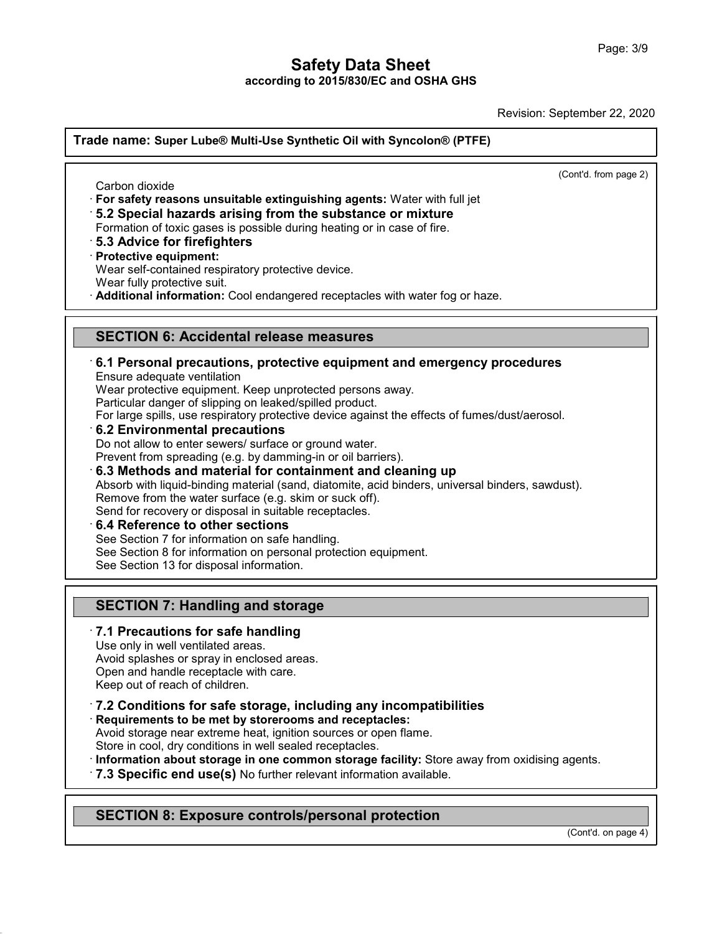Revision: September 22, 2020

**Trade name: Super Lube® Multi-Use Synthetic Oil with Syncolon® (PTFE)** (Cont'd. from page 2) de name: Super Lube® M<br>
Carbon dioxide<br>
For safety reasons unsui<br>
F. 2 Special bezerde exi **Example 15 Super Lube® Multi-Use Synthetic Oil with Syncolon® (PTFE)**<br>
<br> **For safety reasons unsuitable extinguishing agents:** Water with full jet<br>
• **5.2 Special hazards arising from the substance or mixture**<br>
• **5.3 Adv** Carbon dioxide<br>
For safety reasons unsuitable extinguishing agents: Water with full jet<br> **·5.2 Special hazards arising from the substance or mixture**<br>
Formation of toxic gases is possible during heating or in case of fire. **For safety reasons unsuitable 15.2 Special hazards arisin<br>15.2 Special hazards arisin<br>19.3 Advice for firefighters<br>19.3 Advice for firefighters<br>19.7 Protective equipment:<br>19.8 Protective equipment:<br>19.8 Protective equipme** For safety reasons unsulable extinguishing agents. Wate<br>5.2 Special hazards arising from the substance or m<br>Formation of toxic gases is possible during heating or in case<br>5.3 Advice for firefighters<br>Protective equipment:<br>W **B.2 Special nazards arising from the substance or mixture**<br>Formation of toxic gases is possible during heating or in case of fire.<br>**B.3 Advice for firefighters**<br>**Protective equipment:**<br>Wear self-contained respiratory prot Protective equipment:<br>
Wear self-contained respiratory protective device.<br>
Wear fully protective suit.<br> **Additional information:** Cool endangered receptacles with water fog or haze.<br> **SECTION 6: Accidental release measures Example 12 Personal precautions, protective equipment and emergency procedures**<br> **ECTION 6: Accidental release measures**<br> **E.1 Personal precautions, protective equipment and emergency procedures**<br>
Ensure adequate ventilat **SECTION 6: Accidental release measures**<br>6.1 Personal precautions, protective equipment and<br>Ensure adequate ventilation<br>Wear protective equipment. Keep unprotected persons away.<br>Particular danger of slipping on leaked/spil **SECTION 6: Accidental release measures**<br>**6.1 Personal precautions, protective equipment and emergency**<br>Ensure adequate ventilation<br>Wear protective equipment. Keep unprotected persons away.<br>Particular danger of slipping on **SECTION 6: Accidental release measures<br>6.1 Personal precautions, protective equipment and en<br>Ensure adequate ventilation<br>Wear protective equipment. Keep unprotected persons away.<br>Particular danger of slipping on leaked/sp** For **6.1 Personal precautions, protective equipment and emergency procedures**<br>Ensure adequate ventilation<br>Wear protective equipment. Keep unprotected persons away.<br>Particular danger of slipping on leaked/spilled product.<br>F Ensure adequate ventilation<br>Wear protective equipment. Keep unprotected persons away.<br>Particular danger of slipping on leaked/spilled product.<br>For large spills, use respiratory protective device against the effects<br>6.2 Env Wear protective equipment. Keep unprotected persons away.<br>
Particular danger of slipping on leaked/spilled product.<br>
For large spills, use respiratory protective device against the effects of fumes/dust/aeros<br> **6.2 Environ 6.2 Environmental precautions**<br>
Do not allow to enter sewers/ surface or ground water.<br>
Prevent from spreading (e.g. by damming-in or oil barriers).<br> **6.3 Methods and material for containment and cleaning up**<br>
Absorb with **6.3 Methods and material for containment and cleaning up**<br>Absorb with liquid-binding material (sand, diatomite, acid binders, univ<br>Remove from the water surface (e.g. skim or suck off).<br>Send for recovery or disposal in su Do not allow to enter sewers/ surface or ground water.<br>
Prevent from spreading (e.g. by damming-in or oil barriers).<br> **6.3 Methods and material for containment and clea**<br>
Absorb with liquid-binding material (sand, diatomit Absorb with liquid-binding material (sand, diatomite, acid binders, univer<br>Remove from the water surface (e.g. skim or suck off).<br>Send for recovery or disposal in suitable receptacles.<br>6.4 Reference to other sections<br>See S Remove from the water surface (e.g. skim or si<br>Send for recovery or disposal in suitable recept<br>6.4 Reference to other sections<br>See Section 7 for information on safe handling.<br>See Section 8 for information on personal prot **S.4 Reference to other sections**<br>
See Section 7 for information on safe handling.<br>
See Section 8 for information on personal protection equi<br>
See Section 13 for disposal information.<br> **SECTION 7: Handling and storage**<br>
7. See Section 13 for disposal information.<br> **SECTION 7: Handling and storage**<br> **7.1 Precautions for safe handling**<br>
Use only in well ventilated areas.<br>
Avoid splashes or spray in enclosed areas.<br>
Open and handle receptacle w **SECTION 7: Handling and storage**<br>**7.1 Precautions for safe handling**<br>Use only in well ventilated areas.<br>Avoid splashes or spray in enclosed areas.<br>Open and handle receptacle with care.<br>Keep out of reach of children **SECTION 7: Handling and storage**<br>**7.1 Precautions for safe handling**<br>Use only in well ventilated areas.<br>Avoid splashes or spray in enclosed areas.<br>Open and handle receptacle with care.<br>Keep out of reach of children. **7.1 Precautions for safe handling**<br>Use only in well ventilated areas.<br>Avoid splashes or spray in enclosed areas.<br>Open and handle receptacle with care.<br>Keep out of reach of children.<br>**7.2 Conditions for safe storage, inclu** Avoid splashes or spray in enclosed areas.<br>
Open and handle receptacle with care.<br>
Keep out of reach of children.<br> **7.2 Conditions for safe storage, including any incompa<br>
Requirements to be met by storerooms and receptacl** Reep out of reach of children.<br> **7.2 Conditions for safe storage, including any incompatibilities**<br> **Requirements to be met by storerooms and receptacles:**<br>
Avoid storage near extreme heat, ignition sources or open flame.<br>

48.0

T.2 Conditions for safe storage, including any incompatibilities<br>
Requirements to be met by storerooms and receptacles:<br>
Avoid storage near extreme heat, ignition sources or open flame.<br>
Store in cool, dry conditions in we Avoid storage hear extreme heat, ignition sources or open hame.<br>Store in cool, dry conditions in well sealed receptacles.<br>**Information about storage in one common storage facility:** Store away from<br>**7.3 Specific end use(s)** 

(Cont'd. on page 4)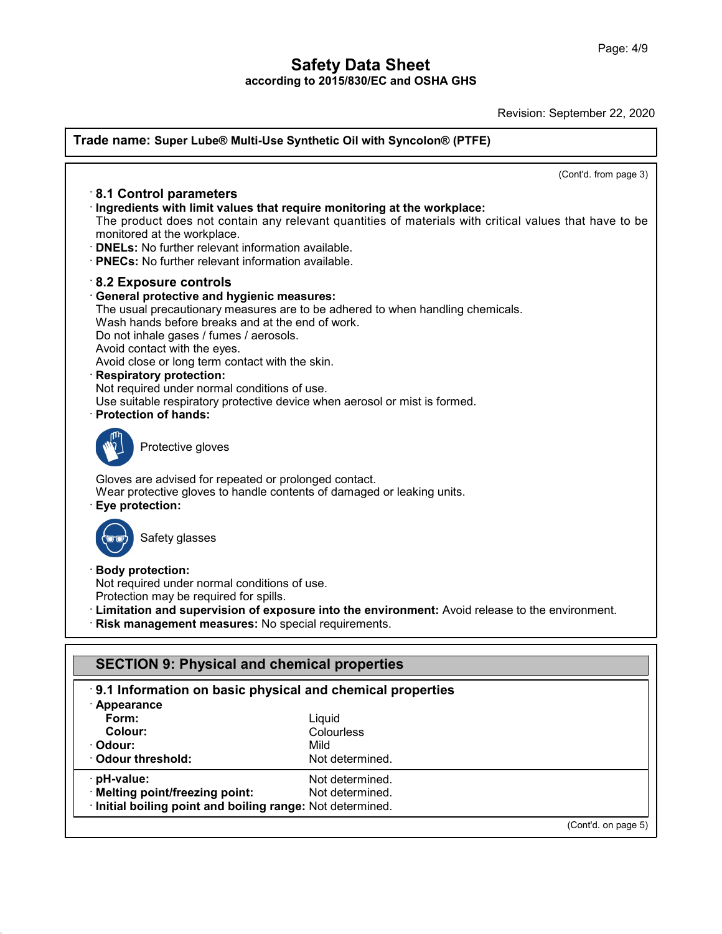Revision: September 22, 2020

(Cont'd. on page 5)

| Trade name: Super Lube® Multi-Use Synthetic Oil with Syncolon® (PTFE)                                                                                                                                                                                                                                                                                                                                                                                              |                                                                                                                                 |
|--------------------------------------------------------------------------------------------------------------------------------------------------------------------------------------------------------------------------------------------------------------------------------------------------------------------------------------------------------------------------------------------------------------------------------------------------------------------|---------------------------------------------------------------------------------------------------------------------------------|
| 8.1 Control parameters<br>Ingredients with limit values that require monitoring at the workplace:<br>monitored at the workplace.<br>· <b>DNELs:</b> No further relevant information available.<br>· PNECs: No further relevant information available.                                                                                                                                                                                                              | (Cont'd. from page 3)<br>The product does not contain any relevant quantities of materials with critical values that have to be |
| $\cdot$ 8.2 Exposure controls<br><b>General protective and hygienic measures:</b><br>Wash hands before breaks and at the end of work.<br>Do not inhale gases / fumes / aerosols.<br>Avoid contact with the eyes.<br>Avoid close or long term contact with the skin.<br><b>Respiratory protection:</b><br>Not required under normal conditions of use.<br>Use suitable respiratory protective device when aerosol or mist is formed.<br><b>Protection of hands:</b> | The usual precautionary measures are to be adhered to when handling chemicals.                                                  |
| Protective gloves                                                                                                                                                                                                                                                                                                                                                                                                                                                  |                                                                                                                                 |
| Gloves are advised for repeated or prolonged contact.<br>Wear protective gloves to handle contents of damaged or leaking units.<br>Eye protection:                                                                                                                                                                                                                                                                                                                 |                                                                                                                                 |
| Safety glasses                                                                                                                                                                                                                                                                                                                                                                                                                                                     |                                                                                                                                 |
| <b>Body protection:</b><br>Not required under normal conditions of use.<br>Protection may be required for spills.<br>Risk management measures: No special requirements.                                                                                                                                                                                                                                                                                            | Elmitation and supervision of exposure into the environment: Avoid release to the environment.                                  |
| <b>SECTION 9: Physical and chemical properties</b>                                                                                                                                                                                                                                                                                                                                                                                                                 |                                                                                                                                 |
| 9.1 Information on basic physical and chemical properties<br>· Appearance<br>Form:<br>Colour:<br>Odour:<br><b>Odour threshold:</b>                                                                                                                                                                                                                                                                                                                                 | Liquid<br>Colourless<br>Mild<br>Not determined.                                                                                 |
| · pH-value:<br>· Melting point/freezing point:<br>· Initial boiling point and boiling range: Not determined.                                                                                                                                                                                                                                                                                                                                                       | Not determined.<br>Not determined.                                                                                              |

48.0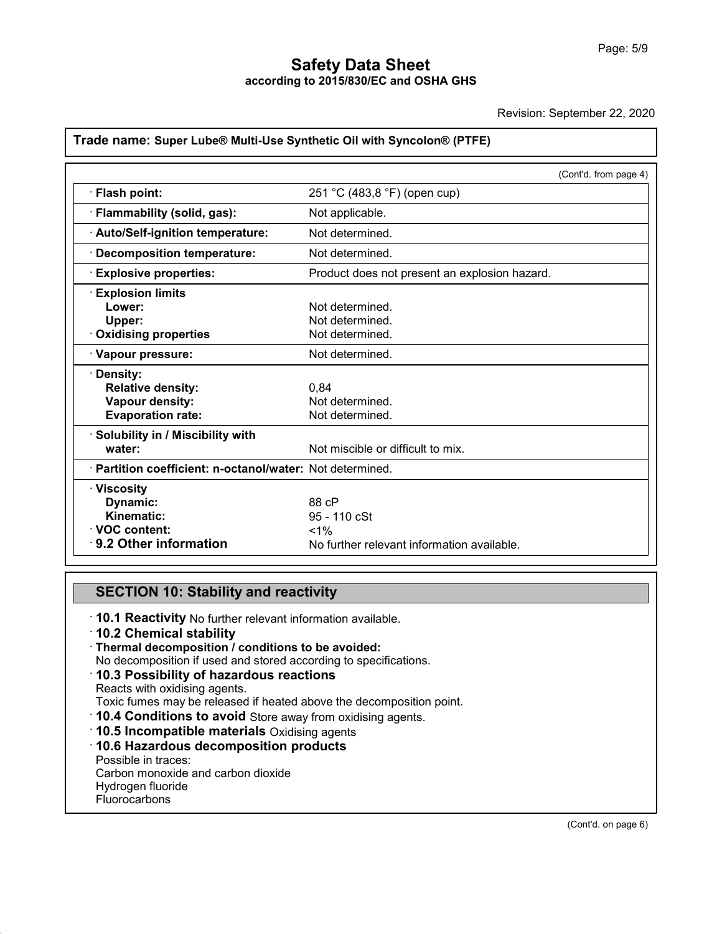Revision: September 22, 2020

# **Trade name: Super Lube® Multi-Use Synthetic Oil with Syncolon® (PTFE)**

|                                                                                                                                                                                                                          | (Cont'd. from page 4)                                                                                                  |  |
|--------------------------------------------------------------------------------------------------------------------------------------------------------------------------------------------------------------------------|------------------------------------------------------------------------------------------------------------------------|--|
| · Flash point:                                                                                                                                                                                                           | 251 °C (483,8 °F) (open cup)                                                                                           |  |
| · Flammability (solid, gas):                                                                                                                                                                                             | Not applicable.                                                                                                        |  |
| · Auto/Self-ignition temperature:                                                                                                                                                                                        | Not determined.                                                                                                        |  |
| · Decomposition temperature:                                                                                                                                                                                             | Not determined.                                                                                                        |  |
| <b>Explosive properties:</b>                                                                                                                                                                                             | Product does not present an explosion hazard.                                                                          |  |
| <b>Explosion limits</b><br>Lower:<br>Upper:<br>Oxidising properties<br>· Vapour pressure:<br>· Density:<br><b>Relative density:</b><br>Vapour density:<br><b>Evaporation rate:</b><br>· Solubility in / Miscibility with | Not determined.<br>Not determined.<br>Not determined.<br>Not determined.<br>0.84<br>Not determined.<br>Not determined. |  |
| water:<br>· Partition coefficient: n-octanol/water: Not determined.                                                                                                                                                      | Not miscible or difficult to mix.                                                                                      |  |
| $\cdot$ Viscosity                                                                                                                                                                                                        |                                                                                                                        |  |
| Dynamic:                                                                                                                                                                                                                 | 88 cP                                                                                                                  |  |
| Kinematic:                                                                                                                                                                                                               | 95 - 110 cSt                                                                                                           |  |
| <b>⋅VOC content:</b>                                                                                                                                                                                                     | $< 1\%$                                                                                                                |  |
| 9.2 Other information                                                                                                                                                                                                    | No further relevant information available.                                                                             |  |

48.0

**SECTION 10: Stability and reactivity<br>
10.1 Reactivity No further relevant information available.<br>
10.2 Chemical stability** • **10.1 Reactivity No further relevant information**<br>
• **10.1 Reactivity No further relevant information available.**<br>
• **10.2 Chemical stability**<br>
• **Thermal decomposition / conditions to be avoided:**<br>
• No decomposition if **SECTION 10: Stability and reactivity**<br> **10.1 Reactivity** No further relevant information available.<br> **10.2 Chemical stability**<br> **Thermal decomposition / conditions to be avoided:**<br>
No decomposition if used and stored acco **10.3 Possibility of hazardous reactions**<br>Reacts with oxidising agents.<br>Toxic fumes may be released if heated above the decomposition point.  $\cdot$  Thermal decomposition / conditions to be avoided: To.2 Chemical stability<br>
Thermal decomposition *I* conditions to be avoided:<br>
No decomposition if used and stored according to specifications.<br> **10.3 Possibility of hazardous reactions**<br>
Reacts with oxidising agents.<br> **10.** • **10.3 Possibility of hazardous reactions**<br>
Reacts with oxidising agents.<br>
Toxic fumes may be released if heated above the decomport of **10.4 Conditions to avoid** Store away from oxidising agents<br> **10.5 Incompatible mater** Toxic fumes may be released<br>Toxic fumes may be released<br>**10.4 Conditions to avoid {<br>10.5 Incompatible materia<br>To.6 Hazardous decompo**<br>Possible in traces:<br>Carbon monoxide and carbon<br>Hydrogen fluoride 10.4 Conditions to avoid Store away from ox<br>10.5 Incompatible materials Oxidising agent<br>10.6 Hazardous decomposition products<br>Possible in traces:<br>Carbon monoxide and carbon dioxide<br>Hydrogen fluoride **10.4 Conditions to avoid<br>10.5 Incompatible materi<br>10.6 Hazardous decompo<br>Possible in traces:<br>Carbon monoxide and carbor<br>Hydrogen fluoride<br>Fluorocarbons Fluorocarbons** 

(Cont'd. on page 6)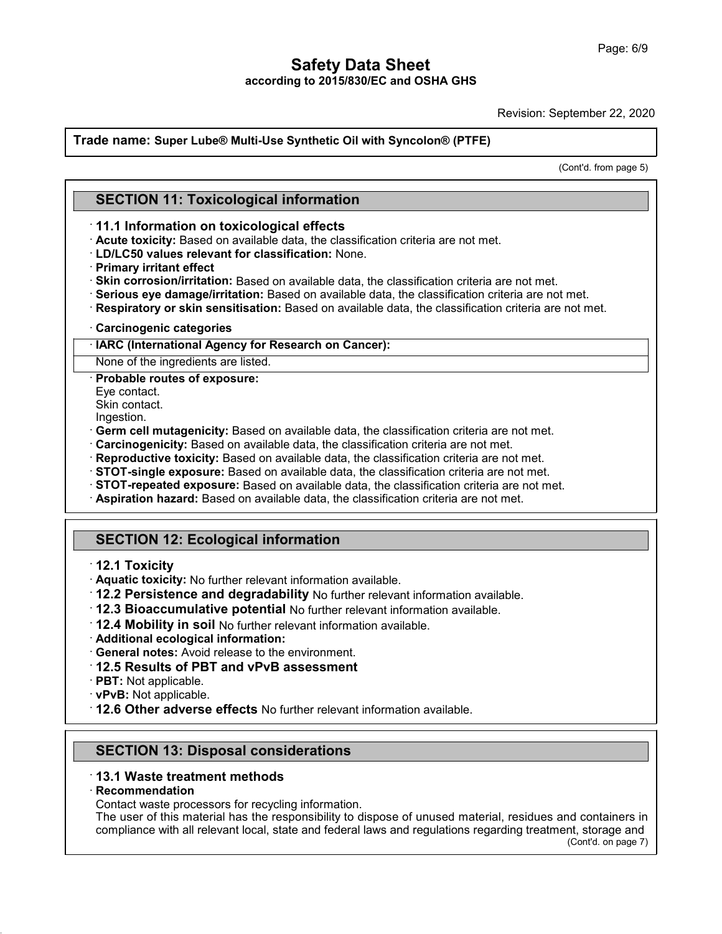Revision: September 22, 2020

# **Trade name: Super Lube® Multi-Use Synthetic Oil with Syncolon® (PTFE) SECTION 11: Toxicological information**

eptember 22, 2020<br>(Cont'd. from page 5)

- **SECTION 11: Toxicological information<br>
11.1 Information on toxicological effects<br>
· Acute toxicity: Based on available data, the classification criteria are not met.<br>
· LD/LC50 values relevant for classification: None.**
- 
- 
- **SECTION 11: Toxicological information**<br> **· 11.1 Information on toxicological effects**<br> **· Acute toxicity:** Based on available data, the classification criteria are not met.<br> **· Primary irritant effect**<br> **· Skin corrosion/**
- 
- 11.1 Information on toxicological effects<br>
11.1 Information on toxicological effects<br>
1D/LC50 values relevant for classification: None.<br>
1Primary irritant effect<br>
1Primary irritant effect<br>
1Primary irritant effect<br>
1Primar • **Skin corrosion/irritation:** Based on available data, the classification criteria are not met.<br>• **Serious eye damage/irritation:** Based on available data, the classification criteria are not met.<br>• **Respiratory or skin s**
- 

Serious eye damage/irritation: Based on ava<br>
Respiratory or skin sensitisation: Based on<br>
Carcinogenic categories<br> **HARC (International Agency for Research on**<br>
None of the ingredients are listed.<br> **Probable routes of expo** 

**Carcinogenic categor<br>IARC (International Agodic Mone of the ingredients<br>Probable routes of ex<br>Eye contact.<br>Skin contact.**<br>Ingestion **IARC (International Ag<br>
None of the ingredients<br>
Probable routes of exp<br>
Eye contact.<br>
Skin contact.<br>
Ingestion.**<br> **Germ cell mutagenicity** 

Ingestion.

- 
- 
- 
- **Reproductive toxicity:** Based on available data, the classist STOT-single exposure: Based on available data, the class STOT-repeated exposure: Based on available data, the classificat Aspiration hazard: Based on available
- Probable routes of exposure:<br>
Eye contact.<br>
Eye contact.<br>
Skin contact.<br>
Skin contact.<br>
Ingestion.<br> **Germ cell mutagenicity:** Based on available data, the classification criteria are not met.<br> **Carcinogenicity:** Based on a
- 

# **Aspiration hazard: Based<br>
SECTION 12: Ecolog<br>
12.1 Toxicity<br>
Aquatic toxicity: No furthern 12.2 Persistence and c**

- 
- 
- SECTION 12: Ecological information<br>
12.1 Toxicity<br>
Aquatic toxicity: No further relevant information available.<br>
12.2 Persistence and degradability No further relevant information available.<br>
12.3 Bioaccumulative potential
- 
- **12.2 Persistence and degradability** No further relevent in **12.4 Mobility in soil** No further relevant in **12.4 Mobility in soil** No further relevant information av **Additional ecological information:**<br>• **General notes:**
- 
- 
- 
- 
- 
- **12.6 District in soll Not** further relevant information available.<br>• **Additional ecological information:**<br>• **General notes:** Avoid release to the environment.<br>• **12.5 Results of PBT and vPvB assessment**<br>• **PBT:** Not app **PBT:** Not applicable.<br> **PBT:** Not applicable.<br> **12.6 Other adverse effects** No further relevant informations<br> **SECTION 13: Disposal considerations**<br> **13.1 Waste treatment methods**

# • **12.6 Other adverse effects No further relevent methods**<br>
• **13.1 Waste treatment methods**<br>
• **Recommendation**<br>
• Contact waste processors for recycling information

48.0

· **Recommendation**

**SECTION 13: Disposal considerations**<br>**13.1 Waste treatment methods**<br>**Recommendation**<br>Contact waste processors for recycling information.<br>The user of this material has the responsibility to dispose<br>compliance with all rele SECTION 13: Disposal considerations<br>13.1 Waste treatment methods<br>Recommendation<br>Contact waste processors for recycling information.<br>The user of this material has the responsibility to dispose of unused material, residues a 13.1 Waste treatment methods<br>Recommendation<br>Contact waste processors for recycling information.<br>The user of this material has the responsibility to dispose of unused material, residues and containers in<br>compliance with all nd containers in<br>nt, storage and<br>(Cont'd. on page 7)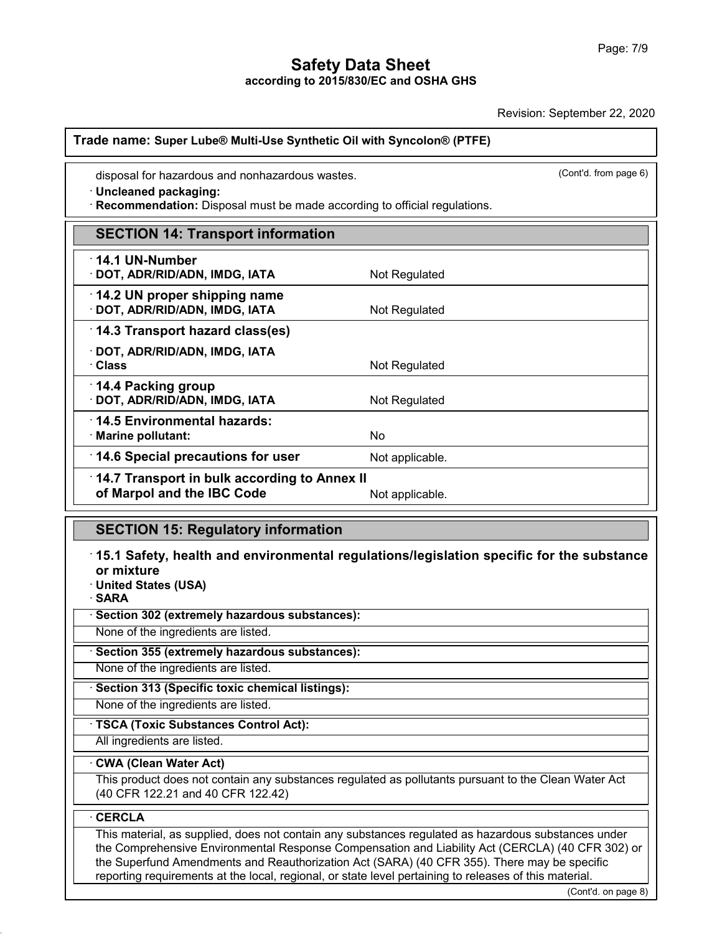Revision: September 22, 2020

# **Trade name: Super Lube® Multi-Use Synthetic Oil with Syncolon® (PTFE)** ade name: Super Lube® Multi-Use Synthetic Oil with Synchronous wastes.<br>
· Uncleaned packaging:<br>
· Recommendation: Disposal must be made according to office

**Exercise 2: Proper Lube® Multi-Use Synthetic Oil with Syncolon® (PTFE)**<br>
disposal for hazardous and nonhazardous wastes.<br>
• Uncleaned packaging:<br>
• Recommendation: Disposal must be made according to official regulations.

| disposal for hazardous and nonhazardous wastes.<br>· Uncleaned packaging:<br>Recommendation: Disposal must be made according to official regulations. | (Cont'd. from page 6)                                                                          |  |  |
|-------------------------------------------------------------------------------------------------------------------------------------------------------|------------------------------------------------------------------------------------------------|--|--|
| <b>SECTION 14: Transport information</b>                                                                                                              |                                                                                                |  |  |
| $\cdot$ 14.1 UN-Number<br>· DOT, ADR/RID/ADN, IMDG, IATA                                                                                              | Not Regulated                                                                                  |  |  |
| 14.2 UN proper shipping name<br>· DOT, ADR/RID/ADN, IMDG, IATA                                                                                        | Not Regulated                                                                                  |  |  |
| 14.3 Transport hazard class(es)                                                                                                                       |                                                                                                |  |  |
| · DOT, ADR/RID/ADN, IMDG, IATA<br>· Class                                                                                                             | Not Regulated                                                                                  |  |  |
| 14.4 Packing group<br>DOT, ADR/RID/ADN, IMDG, IATA                                                                                                    | Not Regulated                                                                                  |  |  |
| 14.5 Environmental hazards:<br>· Marine pollutant:                                                                                                    | <b>No</b>                                                                                      |  |  |
| $\cdot$ 14.6 Special precautions for user                                                                                                             | Not applicable.                                                                                |  |  |
| 14.7 Transport in bulk according to Annex II<br>of Marpol and the IBC Code                                                                            | Not applicable.                                                                                |  |  |
| <b>SECTION 15: Regulatory information</b>                                                                                                             |                                                                                                |  |  |
|                                                                                                                                                       | $\pm$ 15.1 Safety, health and environmental regulations/legislation specific for the substance |  |  |

**14.1 Transport in Bank according to Allisa health and the IBC Code**<br> **15.1 Safety, health and environmental regulations/legislation specific for the substance**<br>
or mixture<br> **15.1 Safety, health and environmental regulatio or marporand the 1B**<br> **SECTION 15: Regu<br>
15.1 Safety, health a<br>
or mixture<br>
United States (USA)<br>
SARA SECTION 15: Regulatory in**<br>15.1 Safety, health and enviror mixture<br>United States (USA)<br>SARA <sup>-</sup> **15.1 Safety, health and environmental regulation mixture**<br>
• United States (USA)<br>
• SARA<br>
• Section 302 (extremely hazardous substances):<br>
None of the ingredients are listed. None of mixture<br>
None of the ingredients are listed.<br> **None of the ingredients are listed.**<br> **None of the ingredients are listed.**<br>
None of the ingredients are listed.<br>
None of the ingredients are listed.

· **SARA**

None of the ingredients are listed.<br>
None of the ingredients are listed.<br> **• Section 355 (extremely hazardous substances):**<br>
None of the ingredients are listed.<br>
• **Section 313 (Specific toxic chemical listings):**<br>
None of **Example 355 (extremely hazardous substances):**<br>None of the ingredients are listed.<br>**· Section 313 (Specific toxic chemical listings):**<br>None of the ingredients are listed.<br>**· TSCA (Toxic Substances Control Act):**<br>All ingre

None of the ingredients are listed.<br>
Section 313 (Specific toxic chemical listings):<br>
None of the ingredients are listed.<br>
TSCA (Toxic Substances Control Act):<br>
All ingredients are listed.

# · **CWA (Clean Water Act)**

This product does not contain any substances regulated as pollutants pursuant to the Clean Water Act (40 CFR 122.21 and 40 CFR 122.42)

# · **CERCLA**

48.0

(CONTRET)<br>
(CONTRET)<br>
CONTRET OF PAGE 10<br>
CONTRET OF PAGE 8) This material, as supplied, does not contain any substances regulated as hazardous substances under the Comprehensive Environmental Response Compensation and Liability Act (CERCLA) (40 CFR 302) or the Superfund Amendments and Reauthorization Act (SARA) (40 CFR 355). There may be specific reporting requirements at the local, regional, or state level pertaining to releases of this material.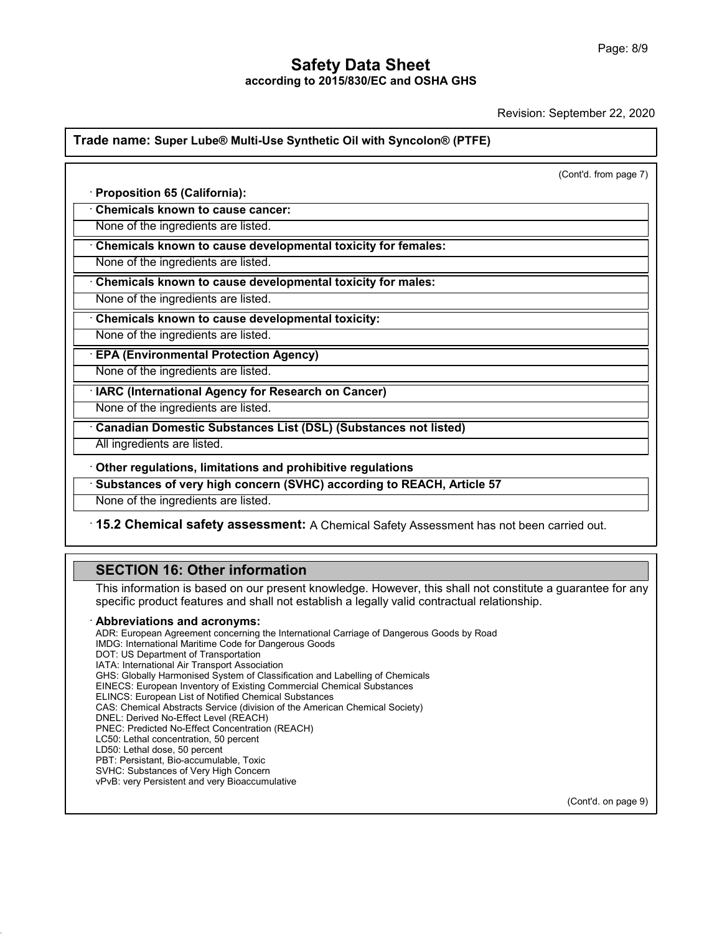Revision: September 22, 2020

# **Trade name: Super Lube® Multi-Use Synthetic Oil with Syncolon® (PTFE)**

|                                                                        | (Cont'd. from page 7) |
|------------------------------------------------------------------------|-----------------------|
| Proposition 65 (California):                                           |                       |
| <b>Chemicals known to cause cancer:</b>                                |                       |
| None of the ingredients are listed.                                    |                       |
| Chemicals known to cause developmental toxicity for females:           |                       |
| None of the ingredients are listed.                                    |                       |
| Chemicals known to cause developmental toxicity for males:             |                       |
| None of the ingredients are listed.                                    |                       |
| Chemicals known to cause developmental toxicity:                       |                       |
| None of the ingredients are listed.                                    |                       |
| <b>EPA (Environmental Protection Agency)</b>                           |                       |
| None of the ingredients are listed.                                    |                       |
| IARC (International Agency for Research on Cancer)                     |                       |
| None of the ingredients are listed.                                    |                       |
| <b>Canadian Domestic Substances List (DSL) (Substances not listed)</b> |                       |
| All ingredients are listed.                                            |                       |
| Other regulations, limitations and prohibitive regulations             |                       |
| Substances of very high concern (SVHC) according to REACH, Article 57  |                       |
| None of the ingredients are listed.                                    |                       |

**None of the ingredients are listed.**<br>**15.2 Chemical safety assessment:** A Chemical<br>**SECTION 16: Other information**<br>This information is based on our present knowledge.<br>specific product features and shall not establish a le 15.2 Chemical safety assessment: A Chemical Safety Assessment has not been carried out.<br>
SECTION 16: Other information<br>
This information is based on our present knowledge. However, this shall not constitute a guarantee for **SECTION 16: Other information**<br>
This information is based on our present knowledge. However, this shall not constitute a gual<br>
specific product features and shall not establish a legally valid contractual relationship.<br>
A

48.0

specific product features and shall not establish a legally valid contractual relationship.<br> **Abbreviations and acronyms:**<br>
ADR: European Agreement concerning the International Carriage of Dangerous Goods by Road<br>
IMDG: In specific product features and shall not e<br>**Abbreviations and acronyms:**<br>ADR: European Agreement concerning the Intern<br>IMDG: International Maritime Code for Dangerou<br>DOT: US Department of Transport Association<br>IATA: Interna **Abbreviations and acronyms:**<br>ADR: European Agreement concerning the Internation<br>IMDG: International Maritime Code for Dangerous Go<br>DOT: US Department of Transport Association<br>IATA: International Air Transport Association<br> **ADDreVIatIONS and acronyms:**<br>ADR: European Agreement concerning the International Carriage of Dangerous Goods I<br>IMDG: International Maritime Code for Dangerous Goods<br>DOT: US Department of Transportation<br>IATA: Internationa ADR: European Agreement concerning the International Carriage of Dangerous Good<br>IMDG: International Maritime Code for Dangerous Goods<br>DOT: US Department of Transportation<br>IATA: International Air Transport Association<br>GHS: IMDG: International Maritime Code for Dangerous Goods<br>DOT: US Department of Transportation<br>IATA: International Air Transport Association<br>GHS: Globally Harmonised System of Classification and Labelling<br>EINECS: European Inve DOT: US Department of Transportation<br>IATA: International Air Transport Association<br>GHS: Globally Harmonised System of Classification and Labelling of Chemicals<br>EINECS: European Inventory of Existing Commercial Chemical Sub IATA: International Air Transport Association<br>GHS: Globally Harmonised System of Classificatio<br>EINECS: European Inventory of Existing Commerc<br>ELINCS: European List of Notified Chemical Subst<br>CAS: Chemical Abstracts Service EINECS: European Inventory of Existing Commercial Chemical Substances<br>ELINCS: European List of Notified Chemical Substances<br>CAS: Chemical Abstracts Service (division of the American Chemical Societ<br>DNEL: Derived No-Effect CAS: Chemical Abstracts Service (division of the American Chemical Society) PBT: Persistant, Bio-accumulable, Toxic<br>SVHC: Substances of Very High Concern PNEC: Predicted No-Effect Concentration (REACH) DNEL: Derived No-Effect Level (REACH)<br>PNEC: Predicted No-Effect Concentration (REACH)<br>LC50: Lethal concentration, 50 percent<br>LD50: Lethal dose, 50 percent<br>PBT: Persistant, Bio-accumulable, Toxic<br>SVHC: Substances of Very Hi PNEC: Predicted No-Effect Concentration (REACH)<br>LC50: Lethal concentration, 50 percent<br>LD50: Lethal dose, 50 percent<br>PBT: Persistant, Bio-accumulable, Toxic<br>SVHC: Substances of Very High Concern<br>vPvB: very Persistent and v

(Cont'd. on page 9)